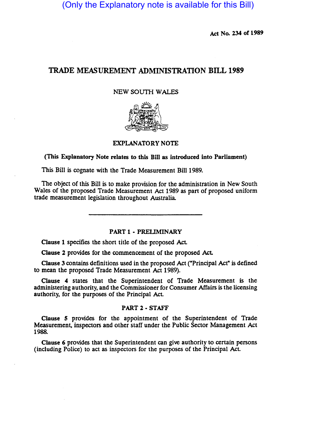(Only the Explanatory note is available for this Bill)

Act No. 234 of 1989

# TRADE MEASUREMENT ADMINISTRATION BILL 1989

# NEW SOUTH WALES



## EXPLANATORY NOTE

(This Explanatory Note relates to this Bill as introduced into Parliament)

This Bill is cognate with the Trade Measurement Bill 1989.

The object of this Bill is to make provision for the administration in New South Wales of the proposed Trade Measurement Act 1989 as part of proposed uniform trade measurement legislation throughout Australia.

#### PART 1 - PRELIMINARY

Clause 1 specifies the short title of the proposed AcL

Clause 2 provides for the commencement of the proposed AcL

Clause 3 contains definitions used in the proposed Act ("Principal Act" is defined to mean the proposed Trade Measurement Act 1989).

Clause 4 states that the Superintendent of Trade Measurement is the administering authority, and the Commissioner for Consumer Affairs is the licensing authority, for the purposes of the Principal Act

# PART 2 • STAFF

Clause 5 provides for the appointment of the Superintendent of Trade Measurement, inspectors and other staff under the Public Sector Management Act 1988.

Clause 6 provides that the Superintendent can give authority to cenain persons (including Police) to act as inspectors for the purposes of the Principal Act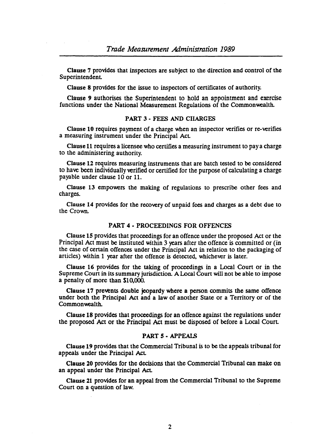Clause 7 provides that inspectors are subject to the direction and control of the Superintendent

Clause 8 provides for the issue to inspectors of certificates of authority.

Clause 9 authorises the Superintendent to hold an appointment and exercise functions under the National Measurement Regulations of the Commonwealth.

#### PART 3 - FEES AND CHARGES

Clause 10 requires payment of a charge when an inspector verifies or re-verifies a measuring instrument under the Principal Act

Clause 11 requires a licensee who certifies a measuring instrument to pay a charge to the administering authority.

Clause 12 requires measuring instruments that are batch tested to be considered to have been individually verified or certified for the purpose of calculating a charge payable under clause 10 or 11.

Clause 13 empowers the making of regulations to prescribe other fees and charges.

Clause 14 provides for the recovery of unpaid fees and charges as a debt due to the Crown.

# PART 4 - PROCEEDINGS FOR OFFENCES

Clause 15 provides that proceedings for an offence under the proposed Act or the Principal Act must be instituted within 3 years after the offence is committed or (in the case of certain offences under the Principal Act in relation to the packaging of articles) within 1 year after the offence is detected. whichever is later.

Clause 16 provides for the taking of proceedings in a Local Court or in the Supreme Court in its summary jurisdiction. A Local Court will not be able to impose a penalty of more than SI 0,000.

Clause 17 prevents double jeopardy where a person commits the same offence under both the Principal Act and a law of another State or a Territory or of the Commonwealth.

Clause 18 provides that proceedings for an offence against the regulations under the proposed Act or the Principal Act must be disposed of before a Local Court

## PART 5 • APPEALS

Clause 19 provides that the Commercial Tribunal is to be the appeals tribunal for appeals under the Principal Act

Clause 20 provides for the decisions that the Commercial Tribunal can make on an appeal under the Principal Act

Clause 21 provides for an appeal from the Commercial Tribunal to the Supreme Court on a question of law.